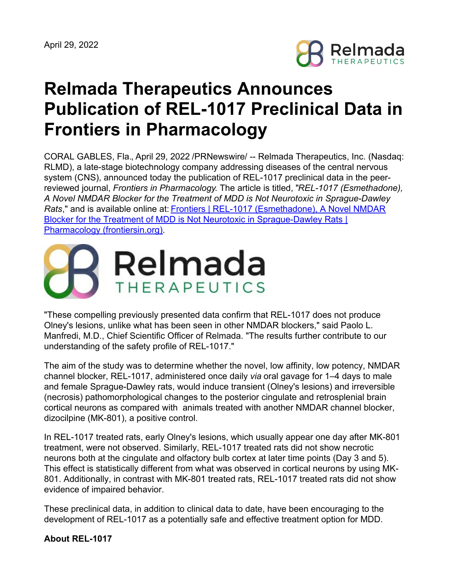

# **Relmada Therapeutics Announces Publication of REL-1017 Preclinical Data in Frontiers in Pharmacology**

CORAL GABLES, Fla., April 29, 2022 /PRNewswire/ -- Relmada Therapeutics, Inc. (Nasdaq: RLMD), a late-stage biotechnology company addressing diseases of the central nervous system (CNS), announced today the publication of REL-1017 preclinical data in the peerreviewed journal, *Frontiers in Pharmacology*. The article is titled, "*REL-1017 (Esmethadone), A Novel NMDAR Blocker for the Treatment of MDD is Not Neurotoxic in Sprague-Dawley Rats*," and is available online at: Frontiers | REL-1017 (Esmethadone), A Novel NMDAR Blocker for the Treatment of MDD is Not Neurotoxic in [Sprague-Dawley](https://www.frontiersin.org/articles/10.3389/fphar.2022.863959/full?&utm_source=Email_to_authors_&utm_medium=Email&utm_content=T1_11.5e1_author&utm_campaign=Email_publication&field=&journalName=Frontiers_in_Pharmacology&id=863959) Rats | Pharmacology (frontiersin.org).



"These compelling previously presented data confirm that REL-1017 does not produce Olney's lesions, unlike what has been seen in other NMDAR blockers," said Paolo L. Manfredi, M.D., Chief Scientific Officer of Relmada. "The results further contribute to our understanding of the safety profile of REL-1017."

The aim of the study was to determine whether the novel, low affinity, low potency, NMDAR channel blocker, REL-1017, administered once daily *via* oral gavage for 1–4 days to male and female Sprague-Dawley rats, would induce transient (Olney's lesions) and irreversible (necrosis) pathomorphological changes to the posterior cingulate and retrosplenial brain cortical neurons as compared with animals treated with another NMDAR channel blocker, dizocilpine (MK-801), a positive control.

In REL-1017 treated rats, early Olney's lesions, which usually appear one day after MK-801 treatment, were not observed. Similarly, REL-1017 treated rats did not show necrotic neurons both at the cingulate and olfactory bulb cortex at later time points (Day 3 and 5). This effect is statistically different from what was observed in cortical neurons by using MK-801. Additionally, in contrast with MK-801 treated rats, REL-1017 treated rats did not show evidence of impaired behavior.

These preclinical data, in addition to clinical data to date, have been encouraging to the development of REL-1017 as a potentially safe and effective treatment option for MDD.

#### **About REL-1017**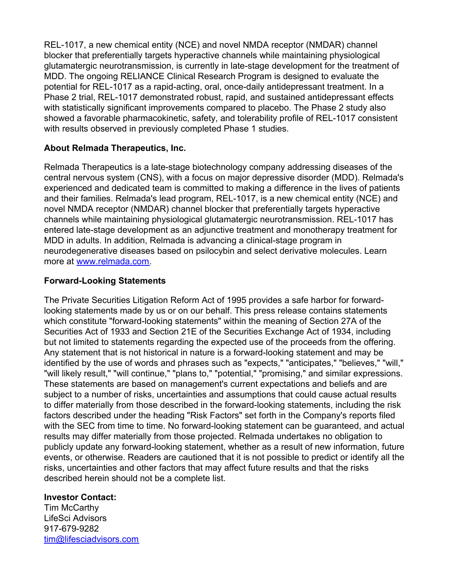REL-1017, a new chemical entity (NCE) and novel NMDA receptor (NMDAR) channel blocker that preferentially targets hyperactive channels while maintaining physiological glutamatergic neurotransmission, is currently in late-stage development for the treatment of MDD. The ongoing RELIANCE Clinical Research Program is designed to evaluate the potential for REL-1017 as a rapid-acting, oral, once-daily antidepressant treatment. In a Phase 2 trial, REL-1017 demonstrated robust, rapid, and sustained antidepressant effects with statistically significant improvements compared to placebo. The Phase 2 study also showed a favorable pharmacokinetic, safety, and tolerability profile of REL-1017 consistent with results observed in previously completed Phase 1 studies.

## **About Relmada Therapeutics, Inc.**

Relmada Therapeutics is a late-stage biotechnology company addressing diseases of the central nervous system (CNS), with a focus on major depressive disorder (MDD). Relmada's experienced and dedicated team is committed to making a difference in the lives of patients and their families. Relmada's lead program, REL-1017, is a new chemical entity (NCE) and novel NMDA receptor (NMDAR) channel blocker that preferentially targets hyperactive channels while maintaining physiological glutamatergic neurotransmission. REL-1017 has entered late-stage development as an adjunctive treatment and monotherapy treatment for MDD in adults. In addition, Relmada is advancing a clinical-stage program in neurodegenerative diseases based on psilocybin and select derivative molecules. Learn more at [www.relmada.com](http://www.relmada.com/).

## **Forward-Looking Statements**

The Private Securities Litigation Reform Act of 1995 provides a safe harbor for forwardlooking statements made by us or on our behalf. This press release contains statements which constitute "forward-looking statements" within the meaning of Section 27A of the Securities Act of 1933 and Section 21E of the Securities Exchange Act of 1934, including but not limited to statements regarding the expected use of the proceeds from the offering. Any statement that is not historical in nature is a forward-looking statement and may be identified by the use of words and phrases such as "expects," "anticipates," "believes," "will," "will likely result," "will continue," "plans to," "potential," "promising," and similar expressions. These statements are based on management's current expectations and beliefs and are subject to a number of risks, uncertainties and assumptions that could cause actual results to differ materially from those described in the forward-looking statements, including the risk factors described under the heading "Risk Factors" set forth in the Company's reports filed with the SEC from time to time. No forward-looking statement can be guaranteed, and actual results may differ materially from those projected. Relmada undertakes no obligation to publicly update any forward-looking statement, whether as a result of new information, future events, or otherwise. Readers are cautioned that it is not possible to predict or identify all the risks, uncertainties and other factors that may affect future results and that the risks described herein should not be a complete list.

#### **Investor Contact:**

Tim McCarthy LifeSci Advisors 917-679-9282 [tim@lifesciadvisors.com](mailto:tim@lifesciadvisors.com)